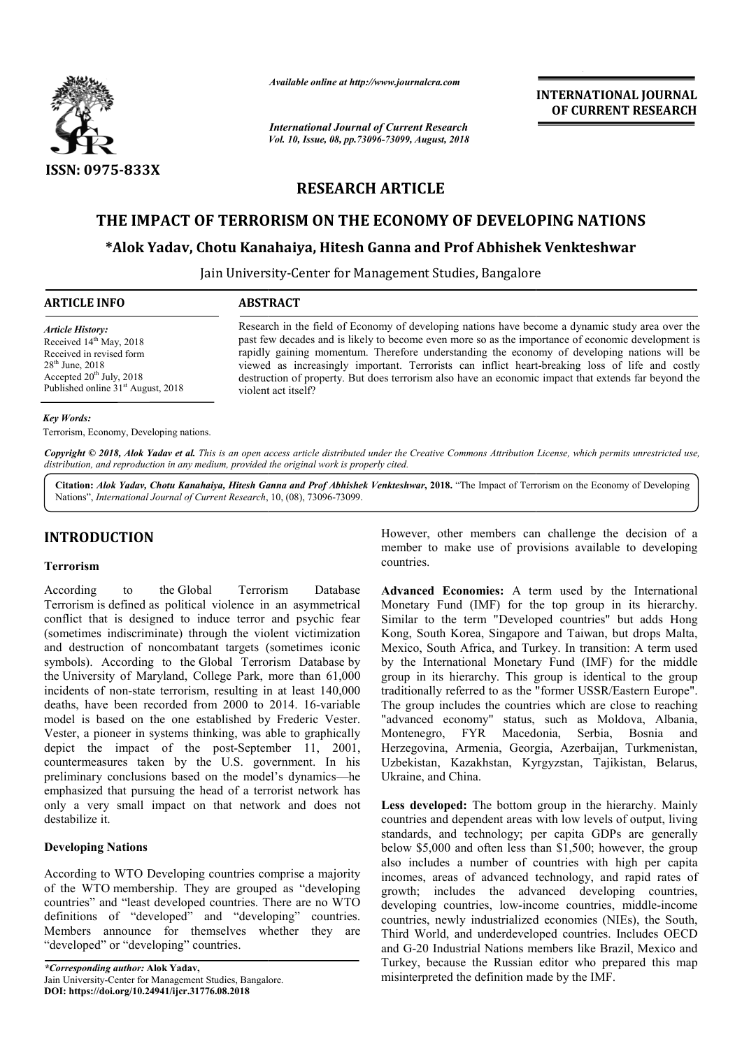

*Available online at http://www.journalcra.com*

*International Journal of Current Research Vol. 10, Issue, 08, pp.73096-73099, August, 2018* **INTERNATIONAL JOURNAL OF CURRENT RESEARCH**

# **RESEARCH ARTICLE**

# **THE IMPACT OF TERRORISM ON THE ECONOMY OF DEVELOPING NATIONS THE ECONOMY Yadav, Chotu Kanahaiya, Hitesh Prof Abhishek Venkteshwar**

## **\*Alok Yadav, Chotu Kanahaiya, Hitesh Ganna and Prof Abhishek Venkteshwar Alok**

Jain University University-Center for Management Studies, Bangalore

| <b>ARTICLE INFO</b>                            | <b>ABSTRACT</b>                                                                                      |  |  |  |  |  |
|------------------------------------------------|------------------------------------------------------------------------------------------------------|--|--|--|--|--|
| <b>Article History:</b>                        | Research in the field of Economy of developing nations have become a dynamic study area over the     |  |  |  |  |  |
| Received $14th$ May, 2018                      | past few decades and is likely to become even more so as the importance of economic development is   |  |  |  |  |  |
| Received in revised form                       | rapidly gaining momentum. Therefore understanding the economy of developing nations will be          |  |  |  |  |  |
| $28th$ June, $2018$                            | viewed as increasingly important. Terrorists can inflict heart-breaking loss of life and costly      |  |  |  |  |  |
| Accepted $20th$ July, 2018                     | destruction of property. But does terrorism also have an economic impact that extends far beyond the |  |  |  |  |  |
| Published online 31 <sup>st</sup> August, 2018 | violent act itself?                                                                                  |  |  |  |  |  |

#### *Key Words:*

Terrorism, Economy, Developing nations.

Copyright © 2018, Alok Yadav et al. This is an open access article distributed under the Creative Commons Attribution License, which permits unrestricted use, *distribution, and reproduction in any medium, provided the original work is properly cited.*

Citation: *Alok Yadav, Chotu Kanahaiya, Hitesh Ganna and Prof Abhishek Venkteshwar, 2018. "The Impact of Terrorism on the Economy of Developing* Nations", *International Journal of Current Research*, 10, (08), 73096-73099.

## **INTRODUCTION**

#### **Terrorism**

According to the Global Terrorism Database Terrorism is defined as political violence in an asymmetrical conflict that is designed to induce terror and psychic fear (sometimes indiscriminate) through the violent victimization and destruction of noncombatant targets (sometimes iconic symbols). According to the Global Terrorism Database by the University of Maryland, College Park, more than 61,000 the University of Maryland, College Park, more than 61,000 incidents of non-state terrorism, resulting in at least 140,000 deaths, have been recorded from 2000 to 2014. 16-variable model is based on the one established by Frederic Vester. Vester, a pioneer in systems thinking, was able to graphically depict the impact of the post-September 11, 2001, September countermeasures taken by the U.S. government. In his preliminary conclusions based on the model's dynamics dynamics—he emphasized that pursuing the head of a terrorist network has only a very small impact on that network and does not destabilize it.

### **Developing Nations**

According to WTO Developing countries comprise a majority of the WTO membership. They are grouped as "developing countries" and "least developed countries. There are no WTO definitions of "developed" and "developing" countries. Members announce for themselves whether they are "developed" or "developing" countries. Simul impact on that network<br>
Nations<br>
Nations<br>
Nations<br>
Nations<br>
Nations<br>
Nexternal Countries complement<br>
Membership. They are grouped<br>
of "developed" and "developin<br>
nnounce for themselves whet<br>
or "developing" countries

However, other members can challenge the decision of a member to make use of provisions available to developing countries.

**Advanced Economies:** A term used by the International Monetary Fund (IMF) for the top group in its hierarchy. Similar to the term "Developed countries" but adds Hong Kong, South Korea, Singapore and Taiwan, but drops Malta, Mexico, South Africa, and Turkey. In transition: A term used by the International Monetary Fund (IMF) for the middle group in its hierarchy. This group is identical to the group traditionally referred to as the "former USSR/Eastern Europe". The group includes the countries which are close to reaching "advanced economy" status, such as Moldova, Albania, Montenegro, FYR Macedonia, Serbia, Bosnia and Herzegovina, Armenia, Georgia, Azerbaijan, Turkmenistan, Uzbekistan, Kazakhstan, Kyrgyzstan, Tajikistan, Belarus, Ukraine, and China. is the developing<br>
as.<br> **ced Economies:** A term used by the International<br>
ary Fund (IMF) for the top group in its hierarchy.<br>
To the term "Developed countries" but adds Hong<br>
South Korea, Singapore and Taiwan, but drops M by the International Monetary Fund (IMF) for the middle group in its hierarchy. This group is identical to the group traditionally referred to as the "former USSR/Eastern Europe". The group includes the countries which are **INTERNATIONAL JOURNAL**<br> **Exerced**<br> **EXERCT CONVENT TOWAL TRESEARCH**<br> **EXERCT CONVENT TOWAL CONVENT RESEARCH**<br> **EXERCT TOWAL CONVENT INTERNATIONS**<br> **EXERCT CONVENT INTERNATIONS**<br> **EXERCT CONVENT INTERNATIONS**<br> **EXERCT CONV** 

Less developed: The bottom group in the hierarchy. Mainly countries and dependent areas with low levels of output, living standards, and technology; per capita GDPs are generally below \$5,000 and often less than \$1,500; however, the group also includes a number of countries with high per capital incomes, areas of advanced technology, and rapid rates of growth; includes the advanced developing countries, incomes, areas of advanced technology, and rapid rates of growth; includes the advanced developing countries, developing countries, low-income countries, middle-income countries, newly industrialized economies (NIEs), the South, Third World, and underdeveloped countries. Includes OECD countries, newly industrialized economies (NIEs), the South, Third World, and underdeveloped countries. Includes OECD and G-20 Industrial Nations members like Brazil, Mexico and Turkey, because the Russian editor who prepared this map misinterpreted the definition made by the IMF. and dependent areas with low levels of output, living<br>and technology; per capita GDPs are generally<br>000 and often less than \$1,500; however, the group<br>ades a number of countries with high per capita

*<sup>\*</sup>Corresponding author:* **Alok Yadav,**  Jain University-Center for Management Studies, Bangalore. **DOI: https://doi.org/10.24941/ijcr.31776.08.2018**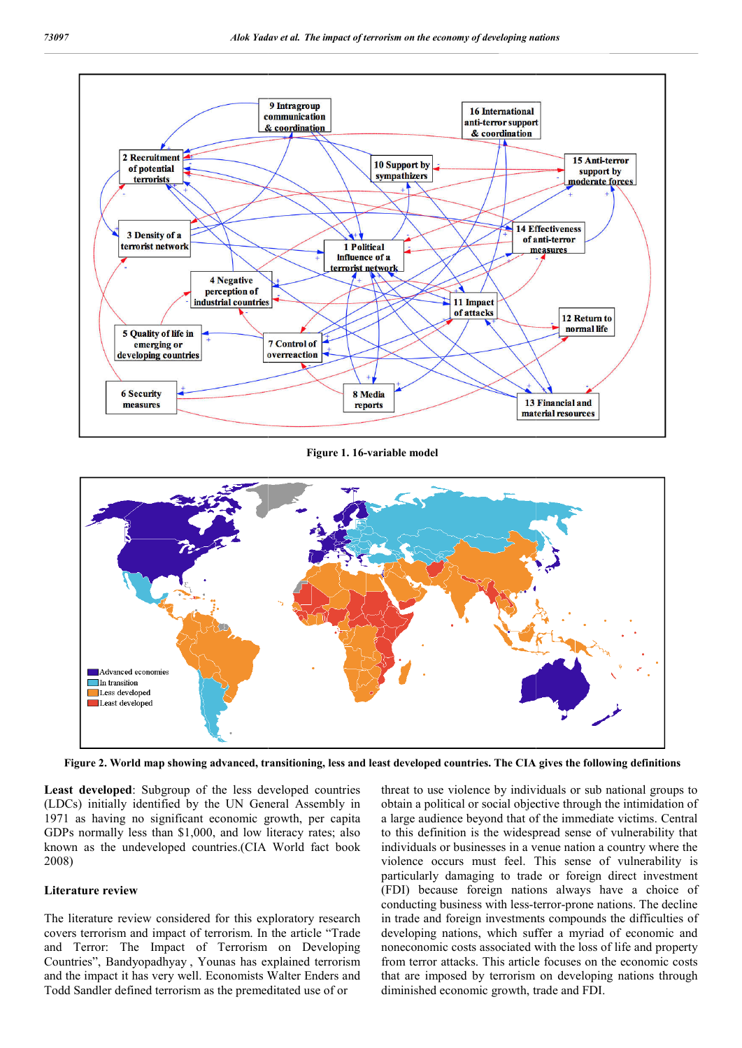

**Figure 1. 16-variable model**



**Figure 2. World map showing advanced, transitioning, less and least developed countries. The CIA gives the following definitions**

**Least developed**: Subgroup of the less developed countries (LDCs) initially identified by the UN General Assembly in 1971 as having no significant economic growth, per capita GDPs normally less than \$1,000, and low literacy rates; also known as the undeveloped countries.(CIA World fact book 2008)

#### **Literature review**

The literature review considered for this exploratory research covers terrorism and impact of terrorism. In the article "Trade and Terror: The Impact of Terrorism on Developing Countries", Bandyopadhyay , Younas has explained terrorism and the impact it has very well. Economists Walter Enders and Todd Sandler defined terrorism as the premeditated use of or

roup of the less developed countries threat to use violence by individuals or sub national groups to ed by the UN General Assembly in obtain a political or social objective through the intimidation of a lifecant economic g obtain a political or social objective through the intimidation of a large audience beyond that of the immediate victims. Central to this definition is the widespread sense of vulnerability th individuals or businesses in a venue nation a country where the violence occurs must feel. This sense of vulnerability is particularly damaging to trade or foreign direct investment (FDI) because foreign nations always have a choice of particularly damaging to trade or foreign direct investment (FDI) because foreign nations always have a choice of conducting business with less-terror-prone nations. The decline in trade and foreign investments compounds the difficulties of developing nations, which suffer a myriad of economic and noneconomic costs associated with the loss of life and property from terror attacks. This article focuses on the economic costs that are imposed by terrorism on developing nations through diminished economic growth, trade and FDI. eat to use violence by individuals or sub national groups to<br>tain a political or social objective through the intimidation of<br>arge audience beyond that of the immediate victims. Central<br>this definition is the widespread se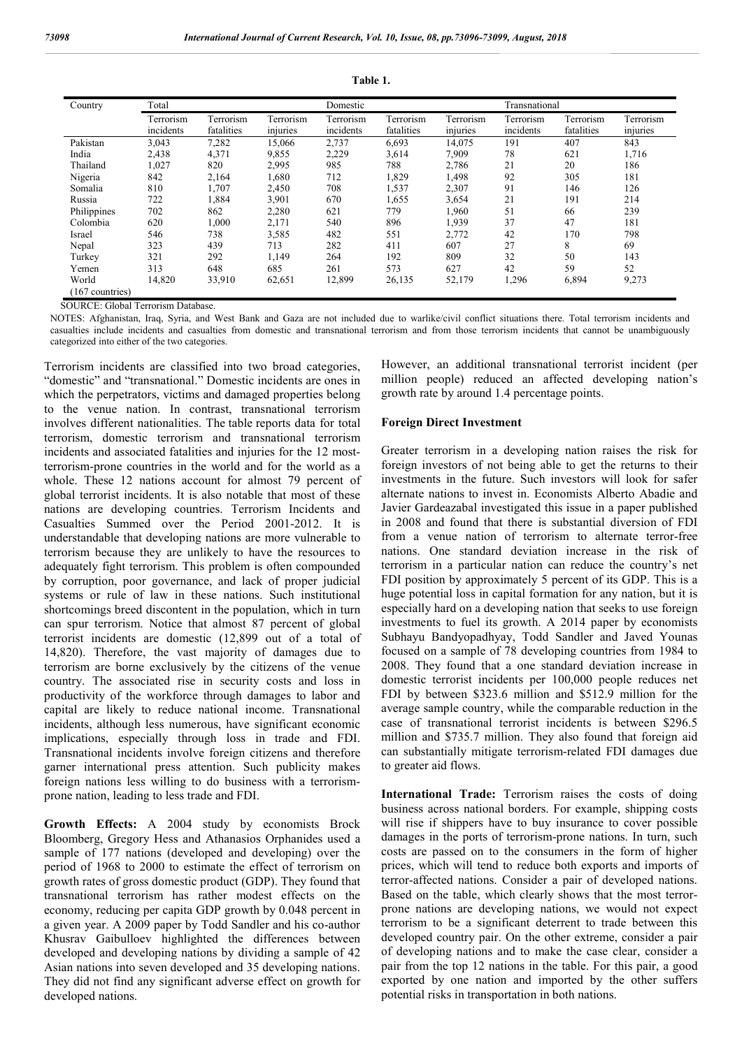| Country         | Total                  |                         |                       | Domestic               |                         |                       | Transnational          |                         |                       |
|-----------------|------------------------|-------------------------|-----------------------|------------------------|-------------------------|-----------------------|------------------------|-------------------------|-----------------------|
|                 | Terrorism<br>incidents | Terrorism<br>fatalities | Terrorism<br>injuries | Terrorism<br>incidents | Terrorism<br>fatalities | Terrorism<br>injuries | Terrorism<br>incidents | Terrorism<br>fatalities | Terrorism<br>injuries |
| Pakistan        | 3,043                  | 7,282                   | 15,066                | 2,737                  | 6,693                   | 14,075                | 191                    | 407                     | 843                   |
| India           | 2,438                  | 4,371                   | 9,855                 | 2,229                  | 3,614                   | 7,909                 | 78                     | 621                     | 1,716                 |
| Thailand        | 1,027                  | 820                     | 2,995                 | 985                    | 788                     | 2,786                 | 21                     | 20                      | 186                   |
| Nigeria         | 842                    | 2,164                   | 1,680                 | 712                    | 1,829                   | 1,498                 | 92                     | 305                     | 181                   |
| Somalia         | 810                    | 1,707                   | 2,450                 | 708                    | 1,537                   | 2,307                 | 91                     | 146                     | 126                   |
| Russia          | 722                    | 1,884                   | 3,901                 | 670                    | 1,655                   | 3,654                 | 21                     | 191                     | 214                   |
| Philippines     | 702                    | 862                     | 2,280                 | 621                    | 779                     | 1,960                 | 51                     | 66                      | 239                   |
| Colombia        | 620                    | 1,000                   | 2,171                 | 540                    | 896                     | 1,939                 | 37                     | 47                      | 181                   |
| Israel          | 546                    | 738                     | 3,585                 | 482                    | 551                     | 2,772                 | 42                     | 170                     | 798                   |
| Nepal           | 323                    | 439                     | 713                   | 282                    | 411                     | 607                   | 27                     | 8                       | 69                    |
| Turkey          | 321                    | 292                     | 1,149                 | 264                    | 192                     | 809                   | 32                     | 50                      | 143                   |
| Yemen           | 313                    | 648                     | 685                   | 261                    | 573                     | 627                   | 42                     | 59                      | 52                    |
| World           | 14,820                 | 33,910                  | 62,651                | 12,899                 | 26,135                  | 52,179                | 1,296                  | 6,894                   | 9,273                 |
| (167 countries) |                        |                         |                       |                        |                         |                       |                        |                         |                       |

**Table 1.**

SOURCE: Global Terrorism Database.

NOTES: Afghanistan, Iraq, Syria, and West Bank and Gaza are not included due to warlike/civil conflict situations there. Total terrorism incidents and casualties include incidents and casualties from domestic and transnational terrorism and from those terrorism incidents that cannot be unambiguously categorized into either of the two categories.

Terrorism incidents are classified into two broad categories, "domestic" and "transnational." Domestic incidents are ones in which the perpetrators, victims and damaged properties belong to the venue nation. In contrast, transnational terrorism involves different nationalities. The table reports data for total terrorism, domestic terrorism and transnational terrorism incidents and associated fatalities and injuries for the 12 mostterrorism-prone countries in the world and for the world as a whole. These 12 nations account for almost 79 percent of global terrorist incidents. It is also notable that most of these nations are developing countries. Terrorism Incidents and Casualties Summed over the Period 2001-2012. It is understandable that developing nations are more vulnerable to terrorism because they are unlikely to have the resources to adequately fight terrorism. This problem is often compounded by corruption, poor governance, and lack of proper judicial systems or rule of law in these nations. Such institutional shortcomings breed discontent in the population, which in turn can spur terrorism. Notice that almost 87 percent of global terrorist incidents are domestic (12,899 out of a total of 14,820). Therefore, the vast majority of damages due to terrorism are borne exclusively by the citizens of the venue country. The associated rise in security costs and loss in productivity of the workforce through damages to labor and capital are likely to reduce national income. Transnational incidents, although less numerous, have significant economic implications, especially through loss in trade and FDI. Transnational incidents involve foreign citizens and therefore garner international press attention. Such publicity makes foreign nations less willing to do business with a terrorismprone nation, leading to less trade and FDI.

**Growth Effects:** A 2004 study by economists Brock Bloomberg, Gregory Hess and Athanasios Orphanides used a sample of 177 nations (developed and developing) over the period of 1968 to 2000 to estimate the effect of terrorism on growth rates of gross domestic product (GDP). They found that transnational terrorism has rather modest effects on the economy, reducing per capita GDP growth by 0.048 percent in a given year. A 2009 paper by Todd Sandler and his co-author Khusrav Gaibulloev highlighted the differences between developed and developing nations by dividing a sample of 42 Asian nations into seven developed and 35 developing nations. They did not find any significant adverse effect on growth for developed nations.

However, an additional transnational terrorist incident (per million people) reduced an affected developing nation's growth rate by around 1.4 percentage points.

#### **Foreign Direct Investment**

Greater terrorism in a developing nation raises the risk for foreign investors of not being able to get the returns to their investments in the future. Such investors will look for safer alternate nations to invest in. Economists Alberto Abadie and Javier Gardeazabal investigated this issue in a paper published in 2008 and found that there is substantial diversion of FDI from a venue nation of terrorism to alternate terror-free nations. One standard deviation increase in the risk of terrorism in a particular nation can reduce the country's net FDI position by approximately 5 percent of its GDP. This is a huge potential loss in capital formation for any nation, but it is especially hard on a developing nation that seeks to use foreign investments to fuel its growth. A 2014 paper by economists Subhayu Bandyopadhyay, Todd Sandler and Javed Younas focused on a sample of 78 developing countries from 1984 to 2008. They found that a one standard deviation increase in domestic terrorist incidents per 100,000 people reduces net FDI by between \$323.6 million and \$512.9 million for the average sample country, while the comparable reduction in the case of transnational terrorist incidents is between \$296.5 million and \$735.7 million. They also found that foreign aid can substantially mitigate terrorism-related FDI damages due to greater aid flows.

**International Trade:** Terrorism raises the costs of doing business across national borders. For example, shipping costs will rise if shippers have to buy insurance to cover possible damages in the ports of terrorism-prone nations. In turn, such costs are passed on to the consumers in the form of higher prices, which will tend to reduce both exports and imports of terror-affected nations. Consider a pair of developed nations. Based on the table, which clearly shows that the most terrorprone nations are developing nations, we would not expect terrorism to be a significant deterrent to trade between this developed country pair. On the other extreme, consider a pair of developing nations and to make the case clear, consider a pair from the top 12 nations in the table. For this pair, a good exported by one nation and imported by the other suffers potential risks in transportation in both nations.